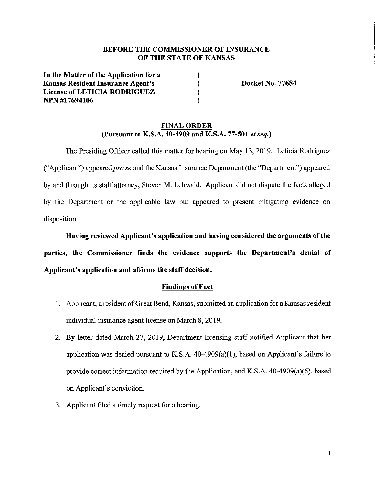# **BEFORE THE COMMISSIONER OF INSURANCE OF THE STATE OF KANSAS**

) ) ) )

**In the Matter of the Application for a Kansas Resident Insurance Agent's License of LETICIA RODRIGUEZ NPN #17694106** 

**Docket No. 77684** 

### **FINAL ORDER (Pursuant to K.S.A. 40-4909 and K.S.A. 77-501** *et seq.)*

The Presiding Officer called this matter for hearing on May 13, 2019. Leticia Rodriguez ("Applicant") appeared *prose* and the Kansas Insurance Department (the "Department") appeared by and through its staff attorney, Steven M. Lehwald. Applicant did not dispute the facts alleged by the Department or the applicable law but appeared to present mitigating evidence on disposition.

**Having reviewed Applicant's application and having considered the arguments of the parties, the Commissioner finds the evidence supports the Department's denial of Applicant's application and affirms the staff decision.** 

#### **Findings of Fact**

- 1. Applicant, a resident of Great Bend, Kansas, submitted an application for a Kansas resident individual insurance agent license on March 8, 2019.
- 2. By letter dated March 27, 2019, Department licensing staff notified Applicant that her application was denied pursuant to K.S.A.  $40-4909(a)(1)$ , based on Applicant's failure to provide correct information required by the Application, and K.S.A. 40-4909(a)(6), based on Applicant's conviction.
- 3. Applicant filed a timely request for a hearing.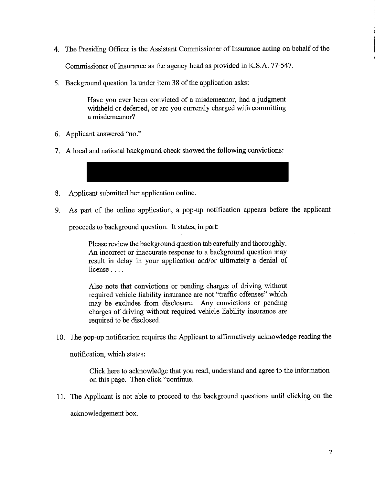4. The Presiding Officer is the Assistant Commissioner of Insurance acting on behalf of the

Commissioner of Insurance as the agency head as provided in K.S.A. 77-547.

5. Background question la under item 38 of the application asks:

Have you ever been convicted of a misdemeanor, had a judgment withheld or deferred, or are you currently charged with committing a misdemeanor?

- 6. Applicant answered "no."
- 7. A local and national background check showed the following convictions:

8. Applicant submitted her application online.

9. As part of the online application, a pop-up notification appears before the applicant

proceeds to background question. It states, in part:

Please review the background question tab carefully and thoroughly. An incorrect or inaccurate response to a background question may result in delay in your application and/or ultimately a denial of license ....

Also note that convictions or pending charges of driving without required vehicle liability insurance are not "traffic offenses" which may be excludes from disclosure. Any convictions or pending charges of driving without required vehicle liability insurance are required to be disclosed.

10. The pop-up notification requires the Applicant to affirmatively acknowledge reading the

notification, which states:

Click here to acknowledge that you read, understand and agree to the information on this page. Then click "continue.

11. The Applicant is not able to proceed to the background questions until clicking on the

acknowledgement box.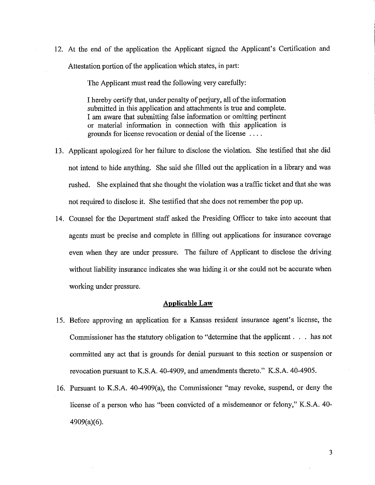12. At the end of the application the Applicant signed the Applicant's Certification and Attestation portion of the application which states, in part:

The Applicant must read the following very carefully:

I hereby certify that, under penalty of perjury, all of the information submitted in this application and attachments is true and complete. I am aware that submitting false information or omitting pertinent or material information in connection with this application 1s grounds for license revocation or denial of the license ....

- 13. Applicant apologized for her failure to disclose the violation. She testified that she did not intend to hide anything. She said she filled out the application in a library and was rushed. She explained that she thought the violation was a traffic ticket and that she was not required to disclose it. She testified that she does not remember the pop up.
- 14. Counsel for the Department staff asked the Presiding Officer to take into account that agents must be precise and complete in filling out applications for insurance coverage even when they are under pressure. The failure of Applicant to disclose the driving without liability insurance indicates she was hiding it or she could not be accurate when working under pressure.

#### **Applicable Law**

- 15. Before approving an application for a Kansas resident insurance agent's license, the Commissioner has the statutory obligation to "determine that the applicant . . . has not committed any act that is grounds for denial pursuant to this section or suspension or revocation pursuant to K.S.A. 40-4909, and amendments thereto." K.S.A. 40-4905.
- 16. Pursuant to K.S.A. 40-4909(a), the Commissioner "may revoke, suspend, or deny the license of a person who has "been convicted of a misdemeanor or felony," K.S.A. 40- 4909(a)(6).

3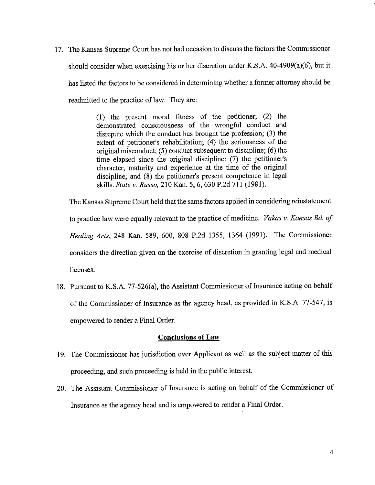17. The Kansas Supreme Court has not had occasion to discuss the factors the Commissioner should consider when exercising his or her discretion under K.S.A. 40-4909(a)(6), but it has listed the factors to be considered in determining whether a former attorney should be readmitted to the practice of law. They are:

> ( 1) the present moral fitness of the petitioner; (2) the demonstrated consciousness of the wrongful conduct and disrepute which the conduct has brought the profession; (3) the extent of petitioner's rehabilitation; (4) the seriousness of the original misconduct; (5) conduct subsequent to discipline; (6) the time elapsed since the original discipline; (7) the petitioner's character, maturity and experience at the time of the original discipline; and (8) the petitioner's present competence in legal skills. *State v. Russo,* 210 Kan. 5, 6,630 P.2d 711 (1981).

The Kansas Supreme Court held that the same factors applied in considering reinstatement to practice law were equally relevant to the practice of medicine. *Vakas v. Kansas Bd. of Healing Arts,* 248 Kan. 589, 600, 808 P.2d 1355, 1364 (1991). The Commissioner considers the direction given on the exercise of discretion in granting legal and medical licenses.

18. Pursuant to K.S.A. 77-526(a), the Assistant Commissioner of Insurance acting on behalf of the Commissioner of Insurance as the agency head, as provided in K.S.A. 77-547, is empowered to render a Final Order.

# **Conclusions of Law**

- 19. The Commissioner has jurisdiction over Applicant as well as the subject matter of this proceeding, and such proceeding is held in the public interest.
- 20. The Assistant Commissioner of Insurance is acting on behalf of the Commissioner of Insurance as the agency head and is empowered to render a Final Order.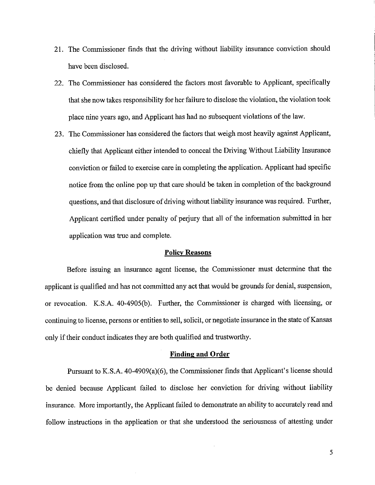- 21. The Commissioner finds that the driving without liability insurance conviction should have been disclosed.
- 22. The Commissioner has considered the factors most favorable to Applicant, specifically that she now takes responsibility for her failure to disclose the violation, the violation took place nine years ago, and Applicant has had no subsequent violations of the law.
- 23. The Commissioner has considered the factors that weigh most heavily against Applicant, chiefly that Applicant either intended to conceal the Driving Without Liability Insurance conviction or failed to exercise care in completing the application. Applicant had specific notice from the online pop up that care should be taken in completion of the background questions, and that disclosure of driving without liability insurance was required. Further, Applicant certified under penalty of perjury that all of the information submitted in her application was true and complete.

### **Policy Reasons**

Before issuing an insurance agent license, the Commissioner must determine that the applicant is qualified and has not committed any act that would be grounds for denial, suspension, or revocation. K.S.A. 40-4905(b). Further, the Commissioner is charged with licensing, or continuing to license, persons or entities to sell, solicit, or negotiate insurance in the state of Kansas only if their conduct indicates they are both qualified and trustworthy.

#### **Finding and Order**

Pursuant to K.S.A. 40-4909(a)(6), the Commissioner finds that Applicant's license should be denied because Applicant failed to disclose her conviction for driving without liability insurance. More importantly, the Applicant failed to demonstrate an ability to accurately read and follow instructions in the application or that she understood the seriousness of attesting under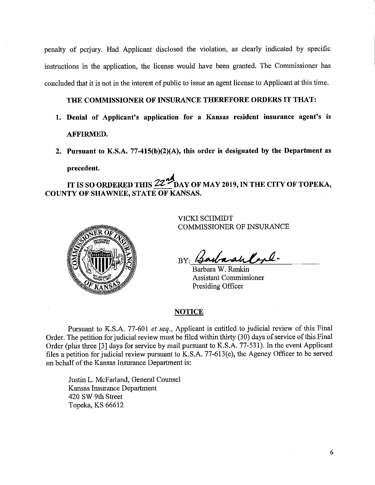penalty of periury. Had Applicant disclosed the violation, as clearly indicated by specific instructions in the application, the license would have been granted. The Conunissioner has concluded that it is not in the interest of public to issue an agent license to Applicant at this time.

# **THE COMMISSIONER OF INSURANCE THEREFORE ORDERS IT THAT:**

- **1. Denial of Applicant's application for a Kansas resident insurance agent's is AFFIRMED.**
- **2. Pursuant to K.S.A. 77-415(b)(2)(A), this order is designated by the Department as precedent.**

IT IS SO ORDERED THIS **22<sup>th</sup>DAY OF MAY 2019, IN THE CITY OF TOPEKA**, **COUNTY OF SHAWNEE, STATE OF KANSAS.** 



VICKI SCHMIDT COMMISSIONER OF INSURANCE

BY: BarbaranCept-

Barbara W. Rankin **Assistant Commissioner** Presiding Officer

### **NOTICE**

Pursuant to K.S.A. 77-601 *et seq.,* Applicant is entitled to judicial review of this Final Order. The petition for judicial review must be filed within thirty (30) days of service of this Final Order (plus three [3] days for service by mail pursuant to K.S.A. 77-531). In the event Applicant files a petition for judicial review pursuant to K.S.A. 77-613(e), the Agency Officer to be served on behalf of the Kansas Insurance Department is:

Justin L. McFarland, General Counsel Kansas Insurance Department 420 SW 9th Street Topeka, KS 66612